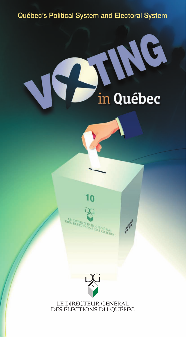#### Québec's Political System and Electoral System

# in Québec





 $\mathcal{J}^{\beta}$ 



LE DIRECTEUR GÉNÉRAL<br>DES ÉLECTIONS DU QUÉBEC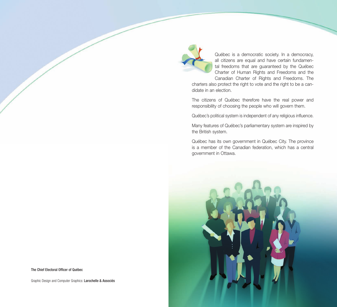

Québec is a democratic society. In a democracy, all citizens are equal and have certain fundamental freedoms that are guaranteed by the Québec Charter of Human Rights and Freedoms and the Canadian Charter of Rights and Freedoms. The

charters also protect the right to vote and the right to be a candidate in an election.

The citizens of Québec therefore have the real power and responsibility of choosing the people who will govern them.

Québec's political system is independent of any religious influence.

Many features of Québec's parliamentary system are inspired by the British system.

Québec has its own government in Québec City. The province is a member of the Canadian federation, which has a central government in Ottawa.



The Chief Electoral Officer of Québec

Graphic Design and Computer Graphics: Larochelle & Associés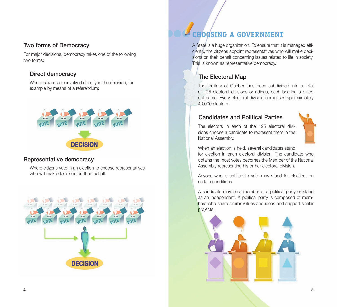#### Two forms of Democracy

For major decisions, democracy takes one of the following two forms:

#### Direct democracy

 Where citizens are involved directly in the decision, for example by means of a referendum;



#### Representative democracy

 Where citizens vote in an election to choose representatives who will make decisions on their behalf.



# **CHOOSING A GOVERNMENT**

A State is a huge organization. To ensure that it is managed efficiently, the citizens appoint representatives who will make decisions on their behalf concerning issues related to life in society. This is known as representative democracy.

#### The Electoral Map

 The territory of Québec has been subdivided into a total of 125 electoral divisions or ridings, each bearing a different name. Every electoral division comprises approximately 40,000 electors.

#### Candidates and Political Parties

 The electors in each of the 125 electoral divisions choose a candidate to represent them in the National Assembly.



When an election is held, several candidates stand for election in each electoral division. The candidate who obtains the most votes becomes the Member of the National Assembly representing his or her electoral division.

Anyone who is entitled to vote may stand for election, on certain conditions.

A candidate may be a member of a political party or stand as an independent. A political party is composed of members who share similar values and ideas and support similar projects.

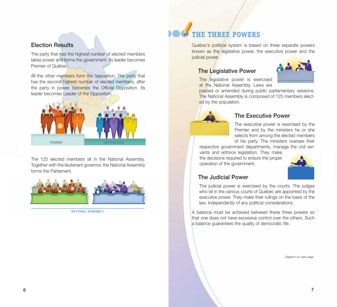#### Election Results

The party that has the highest number of elected members takes power and forms the government. Its leader becomes Premier of Québec.

All the other members form the opposition. The party that has the second highest number of elected members, after the party in power, becomes the Official Opposition. Its leader becomes Leader of the Opposition.



The 125 elected members sit in the National Assembly. Together with the lieutenant governor, the National Assembly forms the Parliament.



national Assembly

# **THE THREE POWERS**

Québec's political system is based on three separate powers known as the legislative power, the executive power and the judicial power.

#### The Legislative Power



 The legislative power is exercised at the National Assembly. Laws are

passed or amended during public parliamentary sessions. The National Assembly is composed of 125 members elected by the population.



#### The Executive Power

The executive power is exercised by the Premier and by the ministers he or she selects from among the elected members of his party. The ministers oversee their

respective government departments, manage the civil ser-

vants and enforce legislation. They make the decisions required to ensure the proper operation of the government.



#### The Judicial Power

 The judicial power is exercised by the courts. The judges who sit in the various courts of Québec are appointed by the executive power. They make their rulings on the basis of the law, independently of any political considerations.

A balance must be achieved between these three powers so that one does not have excessive control over the others. Such a balance guarantees the quality of democratic life.

Diagram on next page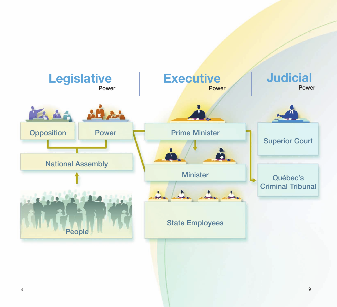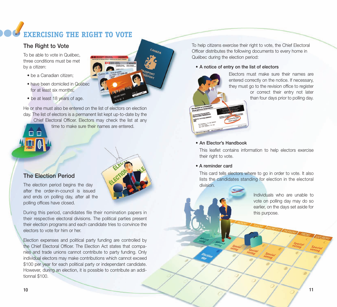# **EXERCISING THE RIGHT TO VOTE**

#### The Right to Vote

To be able to vote in Québec, three conditions must be met by a citizen:

- be a Canadian citizen;
- have been domiciled in Québec for at least six months;
- be at least 18 years of age.

He or she must also be entered on the list of electors on election day. The list of electors is a permanent list kept up-to-date by the Chief Electoral Officer. Electors may check the list at any time to make sure their names are entered. 8 E

#### The Election Period

The election period begins the day after the order-in-council is issued and ends on polling day, after all the polling offices have closed.

During this period, candidates file their nomination papers in their respective electoral divisions. The political parties present their election programs and each candidate tries to convince the electors to vote for him or her.

Election expenses and political party funding are controlled by the Chief Electoral Officer. The Election Act states that companies and trade unions cannot contribute to party funding. Only individual electors may make contributions which cannot exceed \$100 per year for each political party or independant candidate. However, during an election, it is possible to contribute an additionnal \$100.

To help citizens exercise their right to vote, the Chief Electoral Officer distributes the following documents to every home in Québec during the election period:

#### • A notice of entry on the list of electors



CANADA

L1531-171268-08

Electors must make sure their names are entered correctly on the notice. If necessary, they must go to the revision office to register or correct their entry not later than four days prior to polling day.

#### • An Elector's Handbook

 This leaflet contains information to help electors exercise their right to vote.

#### • A reminder card

 This card tells electors where to go in order to vote. It also lists the candidates standing for election in the electoral division.

> Individuals who are unable to vote on polling day may do so earlier, on the days set aside for this purpose.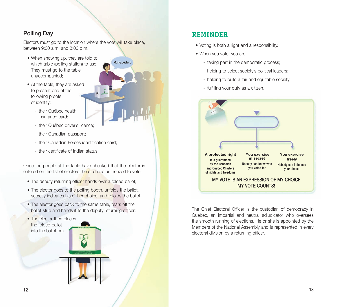#### Polling Day

Electors must go to the location where the vote will take place, between 9:30 a.m. and 8:00 p.m.

Marie Leclerc

- When showing up, they are told to which table (polling station) to use. They must go to the table unaccompanied;
- At the table, they are asked to present one of the following proofs of identity:
	- their Québec health insurance card;
	- their Québec driver's licence;
	- their Canadian passport;
	- their Canadian Forces identification card;
	- their certificate of Indian status.

Once the people at the table have checked that the elector is entered on the list of electors, he or she is authorized to vote.

- The deputy returning officer hands over a folded ballot;
- The elector goes to the polling booth, unfolds the ballot, secretly indicates his or her choice, and refolds the ballot;
- The elector goes back to the same table, tears off the ballot stub and hands it to the deputy returning officer;
- The elector then places the folded ballot into the ballot box.

#### **Reminder**

- Voting is both a right and a responsibility.
- When you vote, you are
	- taking part in the democratic process;
	- helping to select society's political leaders;
	- helping to build a fair and equitable society;
	- fulfilling your duty as a citizen.



The Chief Electoral Officer is the custodian of democracy in Québec, an impartial and neutral adjudicator who oversees the smooth running of elections. He or she is appointed by the Members of the National Assembly and is represented in every electoral division by a returning officer.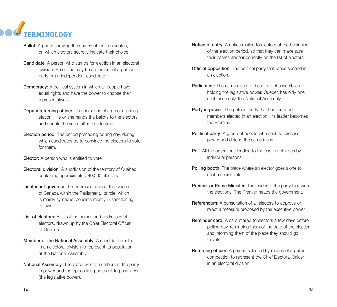

- **Ballot:** A paper showing the names of the candidates, on which electors secretly indicate their choice.
- **Candidate:** A person who stands for election in an electoral division. He or she may be a member of a political party or an independent candidate.
- **Democracy:** A political system in which all people have equal rights and have the power to choose their representatives.
- **Deputy returning officer:** The person in charge of a polling station. He or she hands the ballots to the electors and counts the votes after the election.
- **Election period:** The period preceding polling day, during which candidates try to convince the electors to vote for them.
- **Elector:** A person who is entitled to vote.
- Electoral division: A subdivision of the territory of Québec containing approximately 40,000 electors.
- Lieutenant governor: The representative of the Queen of Canada within the Parliament. Its role, which is mainly symbolic, consists mostly in sanctioning of laws.
- List of electors: A list of the names and addresses of electors, drawn up by the Chief Electoral Officer of Québec.
- Member of the National Assembly: A candidate elected in an electoral division to represent its population at the National Assembly.
- National Assembly: The place where members of the party in power and the opposition parties sit to pass laws (the legislative power).
- Notice of entry: A notice mailed to electors at the beginning of the election period, so that they can make sure their names appear correctly on the list of electors.
- **Official opposition:** The political party that ranks second in an election.
- **Parliament:** The name given to the group of assemblies holding the legislative power. Québec has only one such assembly, the National Assembly.
- Party in power: The political party that has the most members elected in an election. Its leader becomes the Premier.
- Political party: A group of people who seek to exercise power and defend the same ideas.
- Poll: All the operations leading to the casting of votes by individual persons.
- Polling booth: The place where an elector goes alone to cast a secret vote.
- Premier or Prime Minister: The leader of the party that won the elections. The Premier heads the government.
- Referendum: A consultation of all electors to approve or reject a measure proposed by the executive power.
- Reminder card: A card mailed to electors a few days before polling day, reminding them of the date of the election and informing them of the place they should go to vote.
- Returning officer: A person selected by means of a public competition to represent the Chief Electoral Officer in an electoral division.